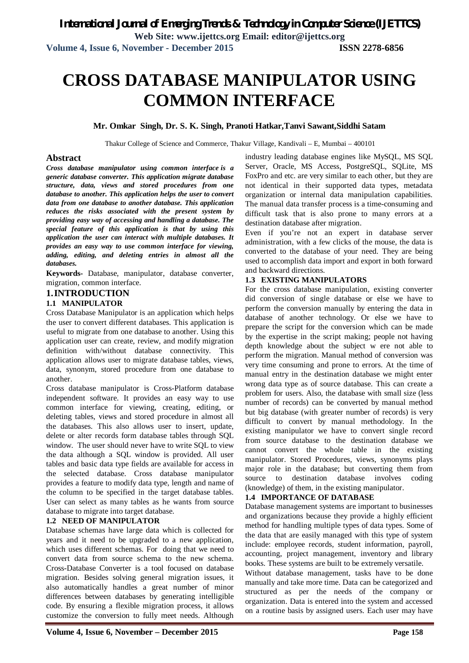# **CROSS DATABASE MANIPULATOR USING COMMON INTERFACE**

#### **Mr. Omkar Singh, Dr. S. K. Singh, Pranoti Hatkar,Tanvi Sawant,Siddhi Satam**

Thakur College of Science and Commerce, Thakur Village, Kandivali – E, Mumbai – 400101

#### **Abstract**

*Cross database manipulator using common interface is a generic database converter. This application migrate database structure, data, views and stored procedures from one database to another. This application helps the user to convert data from one database to another database. This application reduces the risks associated with the present system by providing easy way of accessing and handling a database. The special feature of this application is that by using this application the user can interact with multiple databases. It provides an easy way to use common interface for viewing, adding, editing, and deleting entries in almost all the databases.*

**Keywords-** Database, manipulator, database converter, migration, common interface.

#### **1.INTRODUCTION**

#### **1.1 MANIPULATOR**

Cross Database Manipulator is an application which helps the user to convert different databases. This application is useful to migrate from one database to another. Using this application user can create, review, and modify migration definition with/without database connectivity. This application allows user to migrate database tables, views, data, synonym, stored procedure from one database to another.

Cross database manipulator is Cross-Platform database independent software. It provides an easy way to use common interface for viewing, creating, editing, or deleting tables, views and stored procedure in almost all the databases. This also allows user to insert, update, delete or alter records form database tables through SQL window. The user should never have to write SQL to view the data although a SQL window is provided. All user tables and basic data type fields are available for access in the selected database. Cross database manipulator provides a feature to modify data type, length and name of the column to be specified in the target database tables. User can select as many tables as he wants from source database to migrate into target database.

#### **1.2 NEED OF MANIPULATOR**

Database schemas have large data which is collected for years and it need to be upgraded to a new application, which uses different schemas. For doing that we need to convert data from source schema to the new schema. Cross-Database Converter is a tool focused on database migration. Besides solving general migration issues, it also automatically handles a great number of minor differences between databases by generating intelligible code. By ensuring a flexible migration process, it allows customize the conversion to fully meet needs. Although

industry leading database engines like MySQL, MS SQL Server, Oracle, MS Access, PostgreSQL, SQLite, MS FoxPro and etc. are very similar to each other, but they are not identical in their supported data types, metadata organization or internal data manipulation capabilities. The manual data transfer process is a time-consuming and difficult task that is also prone to many errors at a destination database after migration.

Even if you're not an expert in database server administration, with a few clicks of the mouse, the data is converted to the database of your need. They are being used to accomplish data import and export in both forward and backward directions.

#### **1.3 EXISTING MANIPULATORS**

For the cross database manipulation, existing converter did conversion of single database or else we have to perform the conversion manually by entering the data in database of another technology. Or else we have to prepare the script for the conversion which can be made by the expertise in the script making; people not having depth knowledge about the subject w ere not able to perform the migration. Manual method of conversion was very time consuming and prone to errors. At the time of manual entry in the destination database we might enter wrong data type as of source database. This can create a problem for users. Also, the database with small size (less number of records) can be converted by manual method but big database (with greater number of records) is very difficult to convert by manual methodology. In the existing manipulator we have to convert single record from source database to the destination database we cannot convert the whole table in the existing manipulator. Stored Procedures, views, synonyms plays major role in the database; but converting them from source to destination database involves coding (knowledge) of them, in the existing manipulator.

#### **1.4 IMPORTANCE OF DATABASE**

Database management systems are important to businesses and organizations because they provide a highly efficient method for handling multiple types of data types. Some of the data that are easily managed with this type of system include: employee records, student information, payroll, accounting, project management, inventory and library books. These systems are built to be extremely versatile.

Without database management, tasks have to be done manually and take more time. Data can be categorized and structured as per the needs of the company or organization. Data is entered into the system and accessed on a routine basis by assigned users. Each user may have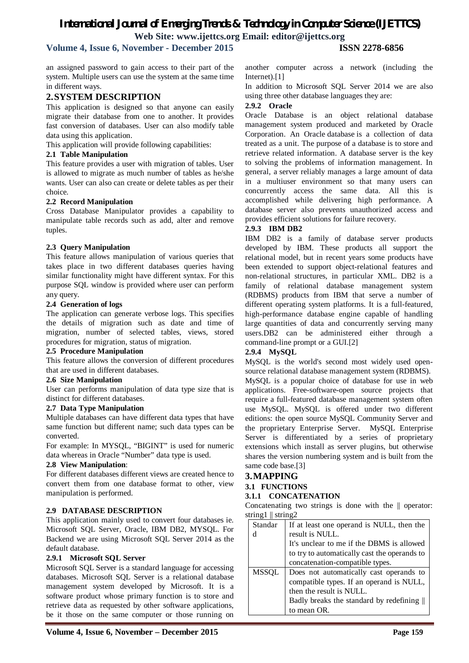### **Volume 4, Issue 6, November - December 2015 ISSN 2278-6856**

an assigned password to gain access to their part of the system. Multiple users can use the system at the same time in different ways.

#### **2.SYSTEM DESCRIPTION**

This application is designed so that anyone can easily migrate their database from one to another. It provides fast conversion of databases. User can also modify table data using this application.

This application will provide following capabilities:

#### **2.1 Table Manipulation**

This feature provides a user with migration of tables. User is allowed to migrate as much number of tables as he/she wants. User can also can create or delete tables as per their choice.

#### **2.2 Record Manipulation**

Cross Database Manipulator provides a capability to manipulate table records such as add, alter and remove tuples.

#### **2.3 Query Manipulation**

This feature allows manipulation of various queries that takes place in two different databases queries having similar functionality might have different syntax. For this purpose SQL window is provided where user can perform any query.

#### **2.4 Generation of logs**

The application can generate verbose logs. This specifies the details of migration such as date and time of migration, number of selected tables, views, stored procedures for migration, status of migration.

#### **2.5 Procedure Manipulation**

This feature allows the conversion of different procedures that are used in different databases.

#### **2.6 Size Manipulation**

User can performs manipulation of data type size that is distinct for different databases.

#### **2.7 Data Type Manipulation**

Multiple databases can have different data types that have same function but different name; such data types can be converted.

For example: In MYSQL, "BIGINT" is used for numeric data whereas in Oracle "Number" data type is used.

#### **2.8 View Manipulation**:

For different databases different views are created hence to convert them from one database format to other, view manipulation is performed.

#### **2.9 DATABASE DESCRIPTION**

This application mainly used to convert four databases ie. Microsoft SQL Server, Oracle, IBM DB2, MYSQL. For Backend we are using Microsoft SQL Server 2014 as the default database.

#### **2.9.1 Microsoft SQL Server**

Microsoft SQL Server is a standard language for accessing databases. Microsoft SQL Server is a relational database management system developed by Microsoft. It is a software product whose primary function is to store and retrieve data as requested by other software applications, be it those on the same computer or those running on

another computer across a network (including the Internet).[1]

In addition to Microsoft SQL Server 2014 we are also using three other database languages they are:

#### **2.9.2 Oracle**

Oracle Database is an object relational database management system produced and marketed by Oracle Corporation. An Oracle database is a collection of data treated as a unit. The purpose of a database is to store and retrieve related information. A database server is the key to solving the problems of information management. In general, a server reliably manages a large amount of data in a multiuser environment so that many users can concurrently access the same data. All this is accomplished while delivering high performance. A database server also prevents unauthorized access and provides efficient solutions for failure recovery.

#### **2.9.3 IBM DB2**

IBM DB2 is a family of database server products developed by IBM. These products all support the relational model, but in recent years some products have been extended to support object-relational features and non-relational structures, in particular XML. DB2 is a family of relational database management system (RDBMS) products from IBM that serve a number of different operating system platforms. It is a full-featured, high-performance database engine capable of handling large quantities of data and concurrently serving many users.DB2 can be administered either through a command-line prompt or a GUI.[2]

#### **2.9.4 MySQL**

MySQL is the world's second most widely used opensource relational database management system (RDBMS). MySQL is a popular choice of database for use in web applications. Free-software-open source projects that require a full-featured database management system often use MySQL. MySQL is offered under two different editions: the open source MySQL Community Server and the proprietary Enterprise Server. MySQL Enterprise Server is differentiated by a series of proprietary extensions which install as server plugins, but otherwise shares the version numbering system and is built from the same code base.[3]

#### **3.MAPPING**

**3.1 FUNCTIONS**

#### **3.1.1 CONCATENATION**

Concatenating two strings is done with the || operator: string1 || string2

| Standar      | If at least one operand is NULL, then the    |  |
|--------------|----------------------------------------------|--|
| d            | result is NULL.                              |  |
|              | It's unclear to me if the DBMS is allowed    |  |
|              | to try to automatically cast the operands to |  |
|              | concatenation-compatible types.              |  |
|              | Does not automatically cast operands to      |  |
| <b>MSSQL</b> |                                              |  |
|              | compatible types. If an operand is NULL,     |  |
|              | then the result is NULL.                     |  |
|              | Badly breaks the standard by redefining      |  |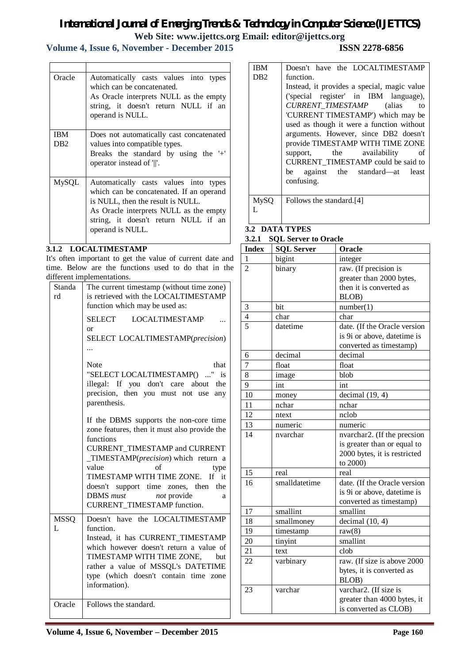## **Volume 4, Issue 6, November - December 2015 ISSN 2278-6856**

| Oracle          | Automatically casts values into types<br>which can be concatenated.<br>As Oracle interprets NULL as the empty<br>string, it doesn't return NULL if an<br>operand is NULL. |
|-----------------|---------------------------------------------------------------------------------------------------------------------------------------------------------------------------|
| <b>IBM</b>      | Does not automatically cast concatenated                                                                                                                                  |
| DB <sub>2</sub> | values into compatible types.                                                                                                                                             |
|                 | Breaks the standard by using the '+'                                                                                                                                      |
|                 | operator instead of '  '.                                                                                                                                                 |
| <b>MySQL</b>    | Automatically casts values into types                                                                                                                                     |
|                 | which can be concatenated. If an operand                                                                                                                                  |
|                 | is NULL, then the result is NULL.                                                                                                                                         |
|                 | As Oracle interprets NULL as the empty                                                                                                                                    |
|                 | string, it doesn't return NULL if an                                                                                                                                      |
|                 | operand is NULL.                                                                                                                                                          |

#### **3.1.2 LOCALTIMESTAMP**

 $\mathbf{r}$ 

It's often important to get the value of current date and time. Below are the functions used to do that in the different implementations.

| Standa<br>rd     | The current timestamp (without time zone)<br>is retrieved with the LOCALTIMESTAMP<br>function which may be used as:<br>SELECT LOCALTIMESTAMP<br><b>or</b><br>SELECT LOCALTIMESTAMP(precision)                                                                                                                                                              |
|------------------|------------------------------------------------------------------------------------------------------------------------------------------------------------------------------------------------------------------------------------------------------------------------------------------------------------------------------------------------------------|
|                  | <b>Note</b><br>that<br>"SELECT LOCALTIMESTAMP() " is<br>illegal: If you don't care about the<br>precision, then you must not use<br>any<br>parenthesis.                                                                                                                                                                                                    |
|                  | If the DBMS supports the non-core time<br>zone features, then it must also provide the<br>functions<br>CURRENT_TIMESTAMP and CURRENT<br>TIMESTAMP(precision) which return a<br>value<br>of<br>type<br>TIMESTAMP WITH TIME ZONE.<br>If it<br>doesn't support time zones, then<br>the<br>DBMS must<br>not provide<br>a<br><b>CURRENT_TIMESTAMP</b> function. |
| <b>MSSQ</b><br>L | Doesn't have the LOCALTIMESTAMP<br>function.<br>Instead, it has CURRENT_TIMESTAMP<br>which however doesn't return a value of<br>TIMESTAMP WITH TIME ZONE, but<br>rather a value of MSSQL's DATETIME<br>type (which doesn't contain time zone<br>information).                                                                                              |
| Oracle           | Follows the standard.                                                                                                                                                                                                                                                                                                                                      |

| IBM         | Doesn't have the LOCALTIMESTAMP                                                                                                                                                                                                                                                                                                                                                                                     |  |  |
|-------------|---------------------------------------------------------------------------------------------------------------------------------------------------------------------------------------------------------------------------------------------------------------------------------------------------------------------------------------------------------------------------------------------------------------------|--|--|
| DB2         | function.                                                                                                                                                                                                                                                                                                                                                                                                           |  |  |
|             | Instead, it provides a special, magic value<br>('special register' in IBM language),<br>CURRENT_TIMESTAMP (alias to<br>'CURRENT TIMESTAMP') which may be<br>used as though it were a function without<br>arguments. However, since DB2 doesn't<br>provide TIMESTAMP WITH TIME ZONE<br>the availability<br>support,<br>of<br>CURRENT TIMESTAMP could be said to<br>be against the standard—at<br>least<br>confusing. |  |  |
| <b>MySQ</b> | Follows the standard.[4]                                                                                                                                                                                                                                                                                                                                                                                            |  |  |

#### **3.2 DATA TYPES 3.2.1 SQL Server to Oracle**

| <b>Index</b>   | <b>SQL Server</b> | Oracle                       |
|----------------|-------------------|------------------------------|
| 1              | bigint            | integer                      |
| $\overline{2}$ | binary            | raw. (If precision is        |
|                |                   | greater than 2000 bytes,     |
|                |                   | then it is converted as      |
|                |                   | BLOB)                        |
| 3              | bit               | number(1)                    |
| $\overline{4}$ | char              | char                         |
| $\overline{5}$ | datetime          | date. (If the Oracle version |
|                |                   | is 9i or above, datetime is  |
|                |                   | converted as timestamp)      |
| 6              | decimal           | decimal                      |
| 7              | float             | float                        |
| 8              | image             | blob                         |
| 9              | int               | int                          |
| 10             | money             | decimal $(19, 4)$            |
| 11             | nchar             | nchar                        |
| 12             | ntext             | nclob                        |
| 13             | numeric           | numeric                      |
| 14             | nvarchar          | nvarchar2. (If the precsion  |
|                |                   | is greater than or equal to  |
|                |                   | 2000 bytes, it is restricted |
|                |                   | to 2000)                     |
| 15             | real              | real                         |
| 16             | smalldatetime     | date. (If the Oracle version |
|                |                   | is 9i or above, datetime is  |
|                |                   | converted as timestamp)      |
| 17             | smallint          | smallint                     |
| 18             | smallmoney        | decimal $(10, 4)$            |
| 19             | timestamp         | raw(8)                       |
| 20             | tinyint           | smallint                     |
| 21             | text              | clob                         |
| 22             | varbinary         | raw. (If size is above 2000  |
|                |                   | bytes, it is converted as    |
|                |                   | BLOB)                        |
| 23             | varchar           | varchar2. (If size is        |
|                |                   | greater than 4000 bytes, it  |
|                |                   | is converted as CLOB)        |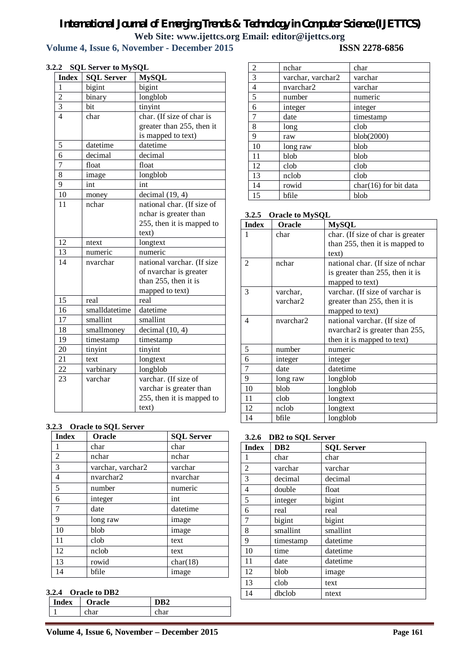### **Volume 4, Issue 6, November - December 2015**

| <b>Index</b>   | <b>SQL Server</b> | <b>MySQL</b>               |
|----------------|-------------------|----------------------------|
| 1              | bigint            | bigint                     |
| $\overline{c}$ | binary            | longblob                   |
| $\overline{3}$ | bit               | tinyint                    |
| $\overline{4}$ | char              | char. (If size of char is  |
|                |                   | greater than 255, then it  |
|                |                   | is mapped to text)         |
| 5              | datetime          | datetime                   |
| 6              | decimal           | decimal                    |
| 7              | float             | float                      |
| 8              | image             | longblob                   |
| 9              | int               | int                        |
| 10             | money             | decimal(19, 4)             |
| 11             | nchar             | national char. (If size of |
|                |                   | nchar is greater than      |
|                |                   | 255, then it is mapped to  |
|                |                   | text)                      |
| 12             | ntext             | longtext                   |
| 13             | numeric           | numeric                    |
| 14             | nvarchar          | national varchar. (If size |
|                |                   | of nvarchar is greater     |
|                |                   | than 255, then it is       |
|                |                   | mapped to text)            |
| 15             | real              | real                       |
| 16             | smalldatetime     | datetime                   |
| 17             | smallint          | smallint                   |
| 18             | smallmoney        | decimal $(10, 4)$          |
| 19             | timestamp         | timestamp                  |
| 20             | tinyint           | tinyint                    |
| 21             | text              | longtext                   |
| 22             | varbinary         | longblob                   |
| 23             | varchar           | varchar. (If size of       |
|                |                   | varchar is greater than    |
|                |                   | 255, then it is mapped to  |
|                |                   | text)                      |

#### **3.2.2 SQL Server to MySQL**

#### **3.2.3 Oracle to SQL Server**

| <b>Index</b>   | <b>SQL Server</b><br>Oracle |          |
|----------------|-----------------------------|----------|
| 1              | char                        | char     |
| $\overline{2}$ | nchar                       | nchar    |
| 3              | varchar, varchar2           | varchar  |
| $\overline{4}$ | nvarchar2                   | nvarchar |
| $\overline{5}$ | number                      | numeric  |
| 6              | integer                     | int      |
| 7              | date                        | datetime |
| 9              | long raw                    | image    |
| 10             | blob                        | image    |
| 11             | clob                        | text     |
| 12             | nclob                       | text     |
| 13             | rowid                       | char(18) |
| 14             | bfile                       | image    |

#### **3.2.4 Oracle to DB2**

| Index | Oracle | ιDΛ |
|-------|--------|-----|
|       |        |     |

| $\overline{c}$ | nchar             | char                    |
|----------------|-------------------|-------------------------|
| 3              | varchar, varchar2 | varchar                 |
| 4              | nvarchar2         | varchar                 |
| 5              | number            | numeric                 |
| 6              | integer           | integer                 |
| 7              | date              | timestamp               |
| 8              | long              | clob                    |
| 9              | raw               | blob(2000)              |
| 10             | long raw          | blob                    |
| 11             | blob              | blob                    |
| 12             | clob              | clob                    |
| 13             | nclob             | clob                    |
| 14             | rowid             | $char(16)$ for bit data |
| 15             | bfile             | blob                    |

|  |  | 3.2.5 Oracle to MySQL |
|--|--|-----------------------|
|--|--|-----------------------|

| <b>Index</b> | Oracle    | <b>MySQL</b>                      |
|--------------|-----------|-----------------------------------|
| 1            | char      | char. (If size of char is greater |
|              |           | than 255, then it is mapped to    |
|              |           | text)                             |
| 2            | nchar     | national char. (If size of nchar  |
|              |           | is greater than 255, then it is   |
|              |           | mapped to text)                   |
| 3            | varchar,  | varchar. (If size of varchar is   |
|              | varchar2  | greater than 255, then it is      |
|              |           | mapped to text)                   |
| 4            | nvarchar2 | national varchar. (If size of     |
|              |           | nvarchar2 is greater than 255,    |
|              |           | then it is mapped to text)        |
| 5            | number    | numeric                           |
| 6            | integer   | integer                           |
| 7            | date      | datetime                          |
| 9            | long raw  | longblob                          |
| 10           | blob      | longblob                          |
| 11           | clob      | longtext                          |
| 12           | nclob     | longtext                          |
| 14           | bfile     | longblob                          |

#### **3.2.6 DB2 to SQL Server**

| <b>Index</b>   | DB <sub>2</sub> | <b>SQL Server</b> |
|----------------|-----------------|-------------------|
| 1              | char            | char              |
| $\overline{2}$ | varchar         | varchar           |
| 3              | decimal         | decimal           |
| 4              | double          | float             |
| 5              | integer         | bigint            |
| 6              | real            | real              |
| 7              | bigint          | bigint            |
| 8              | smallint        | smallint          |
| 9              | timestamp       | datetime          |
| 10             | time            | datetime          |
| 11             | date            | datetime          |
| 12             | blob            | image             |
| 13             | clob            | text              |
| 14             | dbclob          | ntext             |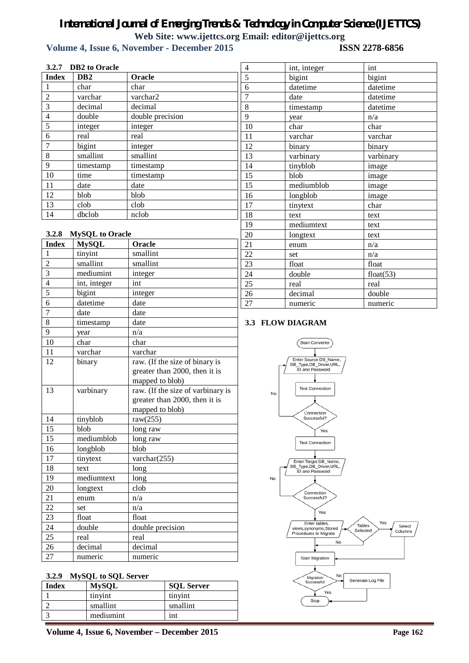# *International Journal of Emerging Trends & Technology in Computer Science (IJETTCS)*

**Web Site: www.ijettcs.org Email: editor@ijettcs.org Volume 4, Issue 6, November - December 2015** 

| 3.2.7 DB2 to Oracle |                        |                                                                                       | $\overline{4}$ | int, integer                                                       | $\operatorname{int}$                    |
|---------------------|------------------------|---------------------------------------------------------------------------------------|----------------|--------------------------------------------------------------------|-----------------------------------------|
| <b>Index</b>        | DB <sub>2</sub>        | Oracle                                                                                | 5              | bigint                                                             | bigint                                  |
| 1                   | char                   | char                                                                                  | 6              | datetime                                                           | datetime                                |
| $\overline{2}$      | varchar                | varchar2                                                                              | 7              | date                                                               | datetime                                |
| 3                   | decimal                | decimal                                                                               | 8              | timestamp                                                          | datetime                                |
| $\overline{4}$      | double                 | double precision                                                                      | 9              | year                                                               | n/a                                     |
| 5                   | integer                | integer                                                                               | 10             | char                                                               | char                                    |
| 6                   | real                   | real                                                                                  | 11             | varchar                                                            | varchar                                 |
| 7                   | bigint                 | integer                                                                               | 12             | binary                                                             | binary                                  |
| 8                   | smallint               | smallint                                                                              | 13             | varbinary                                                          | varbinary                               |
| 9                   | timestamp              | timestamp                                                                             | 14             | tinyblob                                                           | image                                   |
| 10                  | time                   | timestamp                                                                             | 15             | blob                                                               | image                                   |
| 11                  | date                   | date                                                                                  | 15             | mediumblob                                                         | image                                   |
| 12                  | blob                   | blob                                                                                  | 16             | longblob                                                           | image                                   |
| 13                  | clob                   | clob                                                                                  | 17             | tinytext                                                           | char                                    |
| 14                  | dbclob                 | nclob                                                                                 | 18             | text                                                               | text                                    |
|                     |                        |                                                                                       | 19             | mediumtext                                                         | text                                    |
| 3.2.8               | <b>MySQL</b> to Oracle |                                                                                       | 20             | longtext                                                           | text                                    |
| <b>Index</b>        | <b>MySQL</b>           | Oracle                                                                                | 21             | enum                                                               | n/a                                     |
|                     | tinyint                | smallint                                                                              | 22             | set                                                                | n/a                                     |
| $\overline{c}$      | smallint               | smallint                                                                              | 23             | float                                                              | float                                   |
| 3                   | mediumint              | integer                                                                               | 24             | double                                                             | float $(53)$                            |
| $\overline{4}$      | int, integer           | int                                                                                   | 25             | real                                                               | real                                    |
| 5                   | bigint                 | integer                                                                               | 26             | decimal                                                            | double                                  |
| 6                   | datetime               | date                                                                                  | 27             | numeric                                                            | numeric                                 |
| $\overline{7}$      | date                   | date                                                                                  |                |                                                                    |                                         |
| 8                   | timestamp              | date                                                                                  |                | <b>3.3 FLOW DIAGRAM</b>                                            |                                         |
| 9                   | year                   | n/a                                                                                   |                |                                                                    |                                         |
| 10                  | char                   | char                                                                                  |                | <b>Start Converter</b>                                             |                                         |
| 11                  | varchar                | varchar                                                                               |                |                                                                    |                                         |
| 12                  | binary                 | raw. (If the size of binary is<br>greater than 2000, then it is<br>mapped to blob)    |                | Enter Source DB_Name,<br>DB_Type,DB_Driver,URL,<br>ID and Password |                                         |
| 13                  | varbinary              | raw. (If the size of varbinary is<br>greater than 2000, then it is<br>mapped to blob) |                | <b>Test Connection</b><br>No<br>Connection                         |                                         |
| 14                  | tinyblob               | raw $(255)$                                                                           |                | Successful?                                                        |                                         |
| 15                  | blob                   | long raw                                                                              |                | Yes                                                                |                                         |
| 15                  | mediumblob             | long raw                                                                              |                | <b>Test Connection</b>                                             |                                         |
| 16                  | longblob               | blob                                                                                  |                |                                                                    |                                         |
| 17                  | tinytext               | varchar $(255)$                                                                       |                | Enter Target DB_Name,                                              |                                         |
| 18                  | text                   | long                                                                                  |                | DB_Type,DB_Driver,URL,<br>ID and Password                          |                                         |
| 19                  | mediumtext             | long                                                                                  |                | No                                                                 |                                         |
| 20                  | longtext               | clob                                                                                  |                | Connection                                                         |                                         |
| 21                  | enum                   | n/a                                                                                   |                | Successful?                                                        |                                         |
| 22                  | set                    | n/a                                                                                   |                | Yes                                                                |                                         |
| 23                  | float                  | float                                                                                 |                | Enter tables,                                                      | Yes                                     |
| 24                  | double                 | double precision                                                                      |                | views, synonyms, Stored<br>Procedures to Migrate                   | Tables<br>Select<br>Selected<br>Columns |
| 25                  | real                   | real                                                                                  |                | No                                                                 |                                         |
| 26                  |                        |                                                                                       |                |                                                                    |                                         |
| 27                  | decimal                | decimal<br>numeric                                                                    |                |                                                                    |                                         |

#### **3.2.9 MySQL to SQL Server**

| <b>Index</b> | <b>MySQL</b> | <b>SQL Server</b> |
|--------------|--------------|-------------------|
|              | tinvint      | tinyint           |
|              | smallint     | smallint          |
|              | mediumint    | int               |

**Volume 4, Issue 6, November – December 2015 Page 162**

Migration<br>Successful

No

Yes Stop

Generate Log File